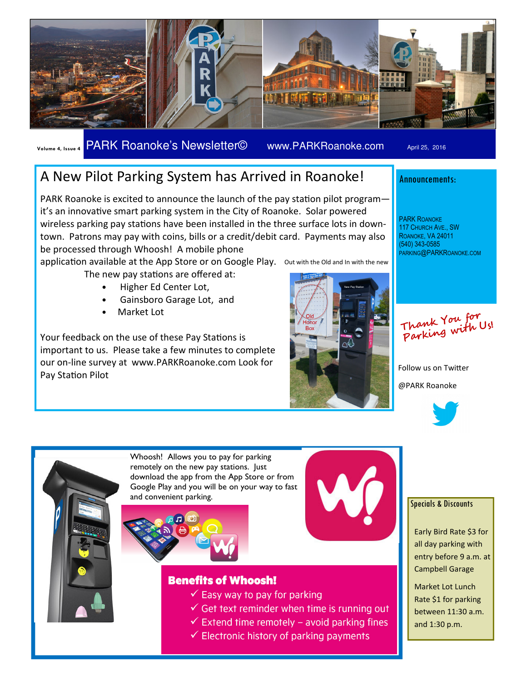

Volume 4, Issue 4 PARK Roanoke's Newsletter© www.PARKRoanoke.com April 25, 2016

# A New Pilot Parking System has Arrived in Roanoke!

PARK Roanoke is excited to announce the launch of the pay station pilot programit's an innovative smart parking system in the City of Roanoke. Solar powered wireless parking pay stations have been installed in the three surface lots in downtown. Patrons may pay with coins, bills or a credit/debit card. Payments may also be processed through Whoosh! A mobile phone

application available at the App Store or on Google Play. Out with the Old and In with the new

- The new pay stations are offered at:
	- Higher Ed Center Lot,
	- Gainsboro Garage Lot, and
	- Market Lot

Your feedback on the use of these Pay Stations is important to us. Please take a few minutes to complete our on-line survey at www.PARKRoanoke.com Look for Pay Station Pilot



## Announcements:

PARK ROANOKE 117 CHURCH AVE., SW ROANOKE, VA 24011 (540) 343-0585 PARKING@PARKROANOKE.COM

Thank You for Parking with Us!

Follow us on Twitter @PARK Roanoke





Whoosh! Allows you to pay for parking remotely on the new pay stations. Just download the app from the App Store or from Google Play and you will be on your way to fast and convenient parking.





### **Benefits of Whoosh!**

- $\checkmark$  Easy way to pay for parking
- $\checkmark$  Get text reminder when time is running out
- $\checkmark$  Extend time remotely avoid parking fines
- $\checkmark$  Electronic history of parking payments

#### Specials & Discounts

Early Bird Rate \$3 for all day parking with entry before 9 a.m. at Campbell Garage

Market Lot Lunch Rate \$1 for parking between 11:30 a.m. and 1:30 p.m.